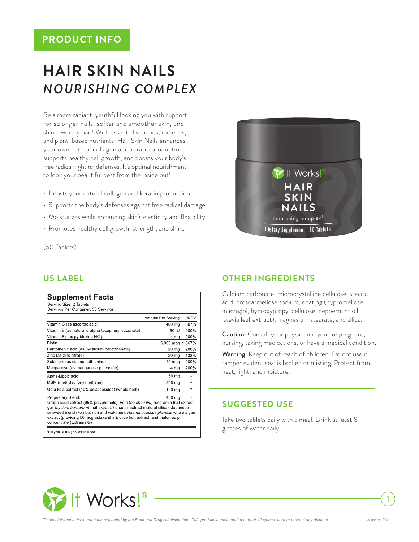# **PRODUCT INFO**

# **HAIR SKIN NAILS** *NOURISHING COMPLEX*

Be a more radiant, youthful looking you with support for stronger nails, softer and smoother skin, and shine-worthy hair! With essential vitamins, minerals, and plant-based nutrients, Hair Skin Nails enhances your own natural collagen and keratin production, supports healthy cell growth, and boosts your body's free radical fighting defenses. It's optimal nourishment to look your beautiful best from the inside out!

- Boosts your natural collagen and keratin production
- Supports the body's defenses against free radical damage
- Moisturizes while enhancing skin's elasticity and flexibility
- Promotes healthy cell growth, strength, and shine

(60 Tablets)

|                                                                                                                                                                                                                                                                                                                                                                                          | Amount Per Serving | %DV     |
|------------------------------------------------------------------------------------------------------------------------------------------------------------------------------------------------------------------------------------------------------------------------------------------------------------------------------------------------------------------------------------------|--------------------|---------|
| Vitamin C (as ascorbic acid)                                                                                                                                                                                                                                                                                                                                                             | 400 mg             | 667%    |
| Vitamin E (as natural d-alpha-tocopheryl succinate)                                                                                                                                                                                                                                                                                                                                      | 60 IU              | 200%    |
| Vitamin B <sub>6</sub> (as pyridoxine HCI)                                                                                                                                                                                                                                                                                                                                               | 4 mg               | 200%    |
| <b>Biotin</b>                                                                                                                                                                                                                                                                                                                                                                            | 5,000 mcg          | 1,667%  |
| Pantothenic acid (as D-calcium pantothenate)                                                                                                                                                                                                                                                                                                                                             | 20 mg              | 200%    |
| Zinc (as zinc citrate)                                                                                                                                                                                                                                                                                                                                                                   | $20 \mathrm{mg}$   | 133%    |
| Selenium (as selenomethionine)                                                                                                                                                                                                                                                                                                                                                           | $140$ mcg          | 200%    |
| Manganese (as manganese gluconate)                                                                                                                                                                                                                                                                                                                                                       | 4 mg               | 200%    |
| Alpha-Lipoic acid                                                                                                                                                                                                                                                                                                                                                                        | 50 mg              | $\star$ |
| MSM (methylsulfonylmethane)                                                                                                                                                                                                                                                                                                                                                              | $200 \text{ mg}$   | $\star$ |
| Gotu kola extract (10% asiaticosides) (whole herb)                                                                                                                                                                                                                                                                                                                                       | 120 mg             | ÷       |
| Proprietary Blend:<br>Grape seed extract (95% polyphenols), Fo ti (he shou wu) root, amia fruit extract,<br>goji (Lycium barbarum) fruit extract, horsetail extract (natural silica), Japanese<br>seaweed blend (kombu, nori and wakame), Haematococcus pluvialis whole algae<br>extract (providing 50 mcg astaxanthin), olive fruit extract, and melon pulp<br>concentrate (Extramel®). | 400 mg             | ×       |

# **US LABEL OTHER INGREDIENTS**

Calcium carbonate, microcrystalline cellulose, stearic acid, croscarmellose sodium, coating (hypromellose, macrogol, hydroxypropyl cellulose, peppermint oil, stevia leaf extract), magnesium stearate, and silica.

Caution: Consult your physician if you are pregnant, nursing, taking medications, or have a medical condition.

Warning: Keep out of reach of children. Do not use if tamper evident seal is broken or missing. Protect from heat, light, and moisture.

## **SUGGESTED USE**

Take two tablets daily with a meal. Drink at least 8 glasses of water daily.



1